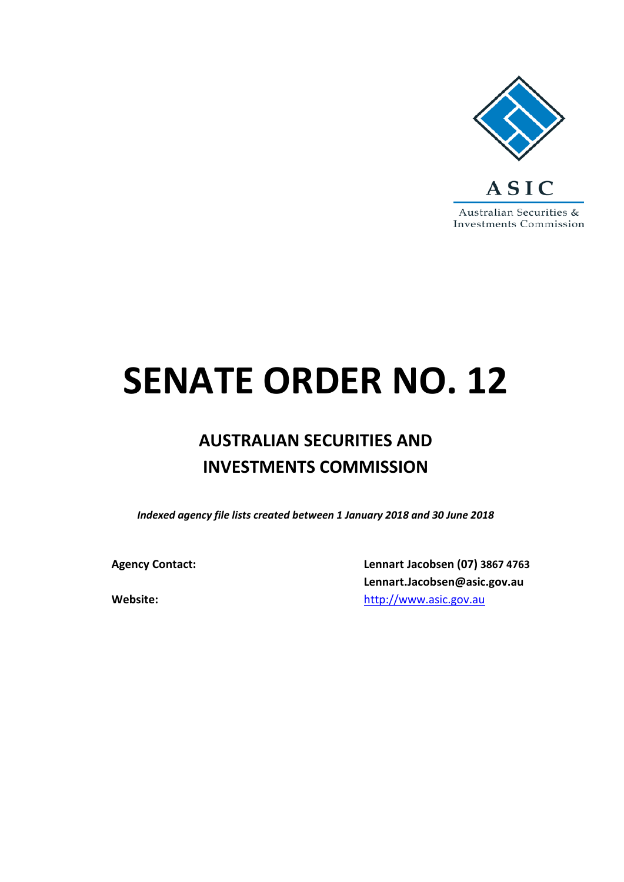

# **SENATE ORDER NO. 12**

# **AUSTRALIAN SECURITIES AND INVESTMENTS COMMISSION**

*Indexed agency file lists created between 1 January 2018 and 30 June 2018*

**Agency Contact: Lennart Jacobsen (07) 3867 4763 Lennart.Jacobsen@asic.gov.au Website:** [http://www.asic.gov.au](http://www.asic.gov.au/)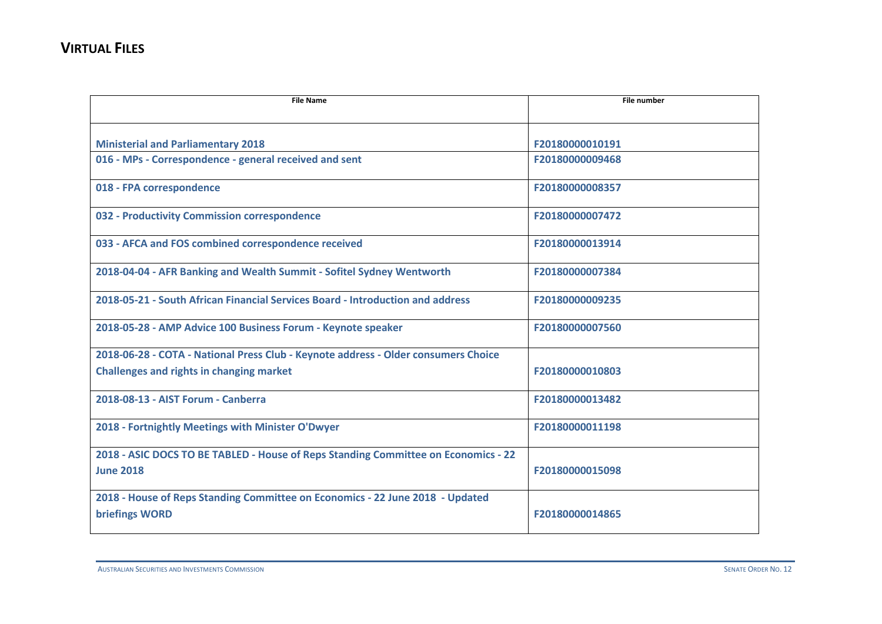| <b>File Name</b>                                                                   | <b>File number</b> |
|------------------------------------------------------------------------------------|--------------------|
|                                                                                    |                    |
| <b>Ministerial and Parliamentary 2018</b>                                          | F20180000010191    |
| 016 - MPs - Correspondence - general received and sent                             | F20180000009468    |
| 018 - FPA correspondence                                                           | F20180000008357    |
| 032 - Productivity Commission correspondence                                       | F20180000007472    |
| 033 - AFCA and FOS combined correspondence received                                | F20180000013914    |
| 2018-04-04 - AFR Banking and Wealth Summit - Sofitel Sydney Wentworth              | F20180000007384    |
| 2018-05-21 - South African Financial Services Board - Introduction and address     | F20180000009235    |
| 2018-05-28 - AMP Advice 100 Business Forum - Keynote speaker                       | F20180000007560    |
| 2018-06-28 - COTA - National Press Club - Keynote address - Older consumers Choice |                    |
| <b>Challenges and rights in changing market</b>                                    | F20180000010803    |
| 2018-08-13 - AIST Forum - Canberra                                                 | F20180000013482    |
| 2018 - Fortnightly Meetings with Minister O'Dwyer                                  | F20180000011198    |
| 2018 - ASIC DOCS TO BE TABLED - House of Reps Standing Committee on Economics - 22 |                    |
| <b>June 2018</b>                                                                   | F20180000015098    |
| 2018 - House of Reps Standing Committee on Economics - 22 June 2018 - Updated      |                    |
| <b>briefings WORD</b>                                                              | F20180000014865    |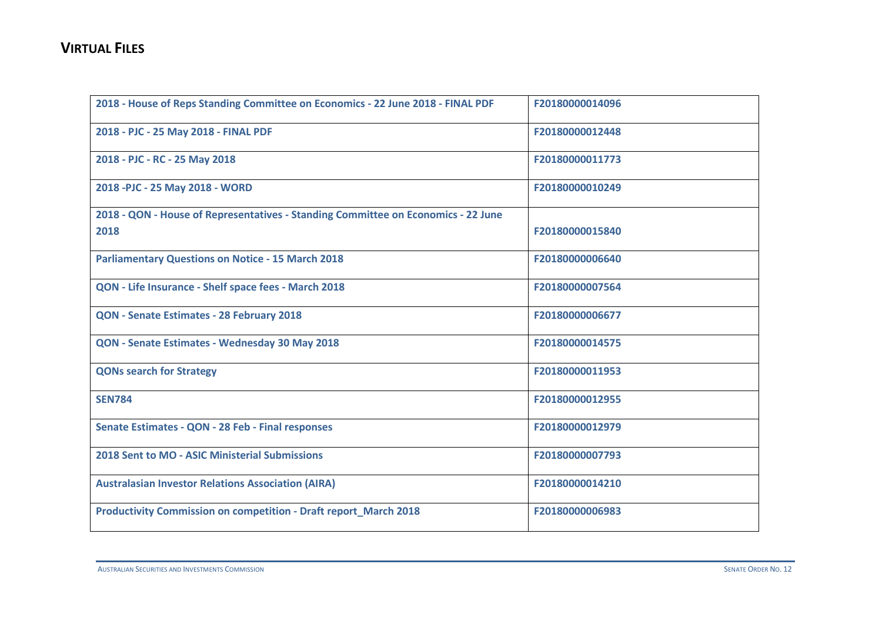| 2018 - House of Reps Standing Committee on Economics - 22 June 2018 - FINAL PDF   | F20180000014096 |
|-----------------------------------------------------------------------------------|-----------------|
| 2018 - PJC - 25 May 2018 - FINAL PDF                                              | F20180000012448 |
| 2018 - PJC - RC - 25 May 2018                                                     | F20180000011773 |
| 2018 - PJC - 25 May 2018 - WORD                                                   | F20180000010249 |
| 2018 - QON - House of Representatives - Standing Committee on Economics - 22 June |                 |
| 2018                                                                              | F20180000015840 |
| <b>Parliamentary Questions on Notice - 15 March 2018</b>                          | F20180000006640 |
| QON - Life Insurance - Shelf space fees - March 2018                              | F20180000007564 |
| QON - Senate Estimates - 28 February 2018                                         | F20180000006677 |
| QON - Senate Estimates - Wednesday 30 May 2018                                    | F20180000014575 |
| <b>QONs search for Strategy</b>                                                   | F20180000011953 |
| <b>SEN784</b>                                                                     | F20180000012955 |
| Senate Estimates - QON - 28 Feb - Final responses                                 | F20180000012979 |
| <b>2018 Sent to MO - ASIC Ministerial Submissions</b>                             | F20180000007793 |
| <b>Australasian Investor Relations Association (AIRA)</b>                         | F20180000014210 |
| <b>Productivity Commission on competition - Draft report_March 2018</b>           | F20180000006983 |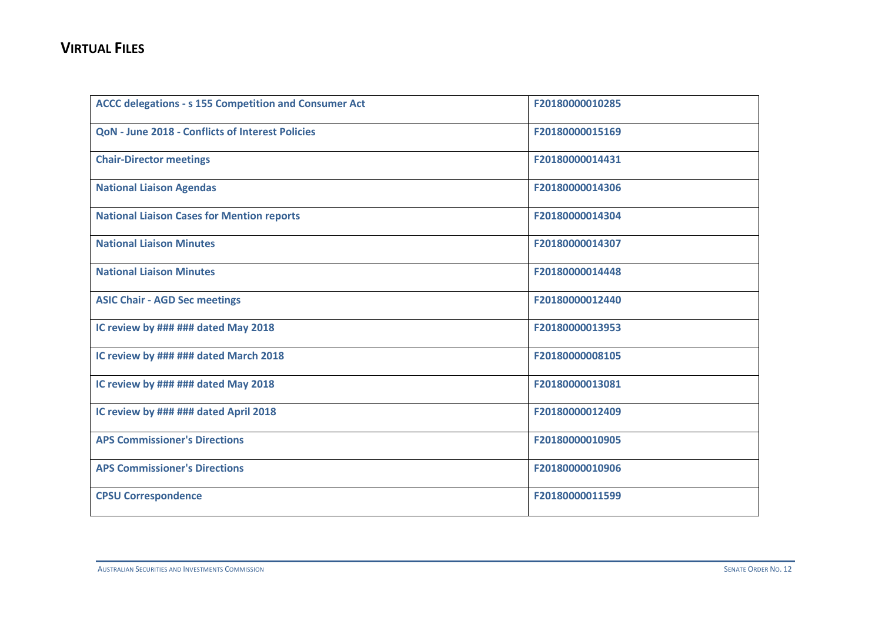| <b>ACCC delegations - s 155 Competition and Consumer Act</b> | F20180000010285 |
|--------------------------------------------------------------|-----------------|
| <b>QoN - June 2018 - Conflicts of Interest Policies</b>      | F20180000015169 |
| <b>Chair-Director meetings</b>                               | F20180000014431 |
| <b>National Liaison Agendas</b>                              | F20180000014306 |
| <b>National Liaison Cases for Mention reports</b>            | F20180000014304 |
| <b>National Liaison Minutes</b>                              | F20180000014307 |
| <b>National Liaison Minutes</b>                              | F20180000014448 |
| <b>ASIC Chair - AGD Sec meetings</b>                         | F20180000012440 |
| IC review by ### ### dated May 2018                          | F20180000013953 |
| IC review by ### ### dated March 2018                        | F20180000008105 |
| IC review by ### ### dated May 2018                          | F20180000013081 |
| IC review by ### ### dated April 2018                        | F20180000012409 |
| <b>APS Commissioner's Directions</b>                         | F20180000010905 |
| <b>APS Commissioner's Directions</b>                         | F20180000010906 |
| <b>CPSU Correspondence</b>                                   | F20180000011599 |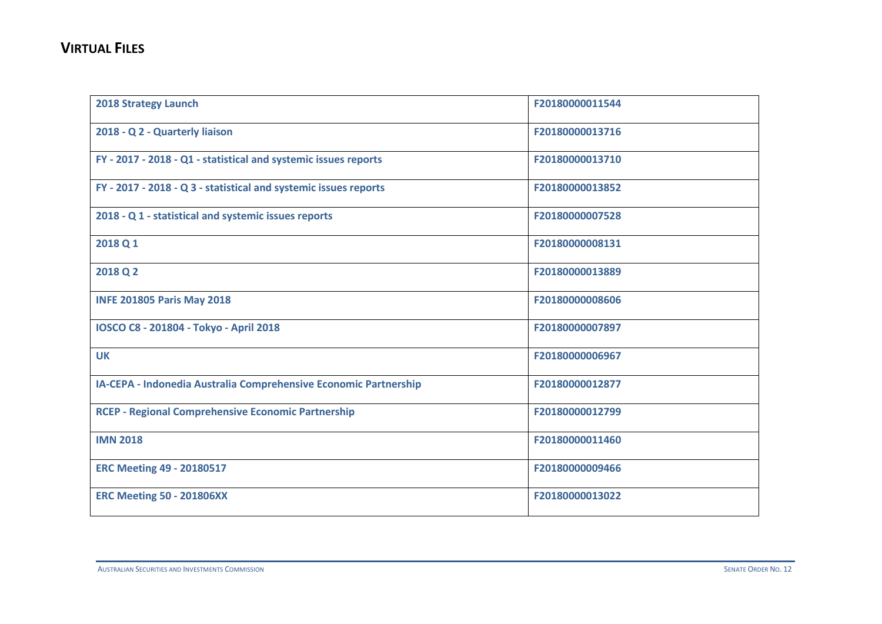| <b>2018 Strategy Launch</b>                                      | F20180000011544 |
|------------------------------------------------------------------|-----------------|
| 2018 - Q 2 - Quarterly liaison                                   | F20180000013716 |
| FY - 2017 - 2018 - Q1 - statistical and systemic issues reports  | F20180000013710 |
| FY - 2017 - 2018 - Q 3 - statistical and systemic issues reports | F20180000013852 |
| 2018 - Q 1 - statistical and systemic issues reports             | F20180000007528 |
| 2018 Q 1                                                         | F20180000008131 |
| 2018 Q 2                                                         | F20180000013889 |
| <b>INFE 201805 Paris May 2018</b>                                | F20180000008606 |
| IOSCO C8 - 201804 - Tokyo - April 2018                           | F20180000007897 |
| <b>UK</b>                                                        | F20180000006967 |
| IA-CEPA - Indonedia Australia Comprehensive Economic Partnership | F20180000012877 |
| <b>RCEP - Regional Comprehensive Economic Partnership</b>        | F20180000012799 |
| <b>IMN 2018</b>                                                  | F20180000011460 |
| <b>ERC Meeting 49 - 20180517</b>                                 | F20180000009466 |
| <b>ERC Meeting 50 - 201806XX</b>                                 | F20180000013022 |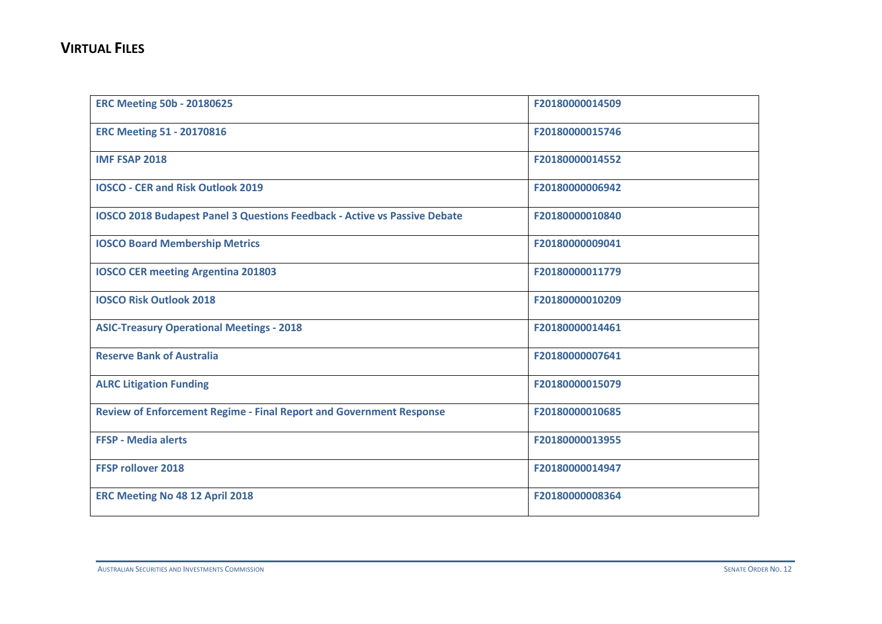| <b>ERC Meeting 50b - 20180625</b>                                                | F20180000014509 |
|----------------------------------------------------------------------------------|-----------------|
| <b>ERC Meeting 51 - 20170816</b>                                                 | F20180000015746 |
| <b>IMF FSAP 2018</b>                                                             | F20180000014552 |
| <b>IOSCO - CER and Risk Outlook 2019</b>                                         | F20180000006942 |
| <b>IOSCO 2018 Budapest Panel 3 Questions Feedback - Active vs Passive Debate</b> | F20180000010840 |
| <b>IOSCO Board Membership Metrics</b>                                            | F20180000009041 |
| <b>IOSCO CER meeting Argentina 201803</b>                                        | F20180000011779 |
| <b>IOSCO Risk Outlook 2018</b>                                                   | F20180000010209 |
| <b>ASIC-Treasury Operational Meetings - 2018</b>                                 | F20180000014461 |
| <b>Reserve Bank of Australia</b>                                                 | F20180000007641 |
| <b>ALRC Litigation Funding</b>                                                   | F20180000015079 |
| <b>Review of Enforcement Regime - Final Report and Government Response</b>       | F20180000010685 |
| <b>FFSP - Media alerts</b>                                                       | F20180000013955 |
| <b>FFSP rollover 2018</b>                                                        | F20180000014947 |
| ERC Meeting No 48 12 April 2018                                                  | F20180000008364 |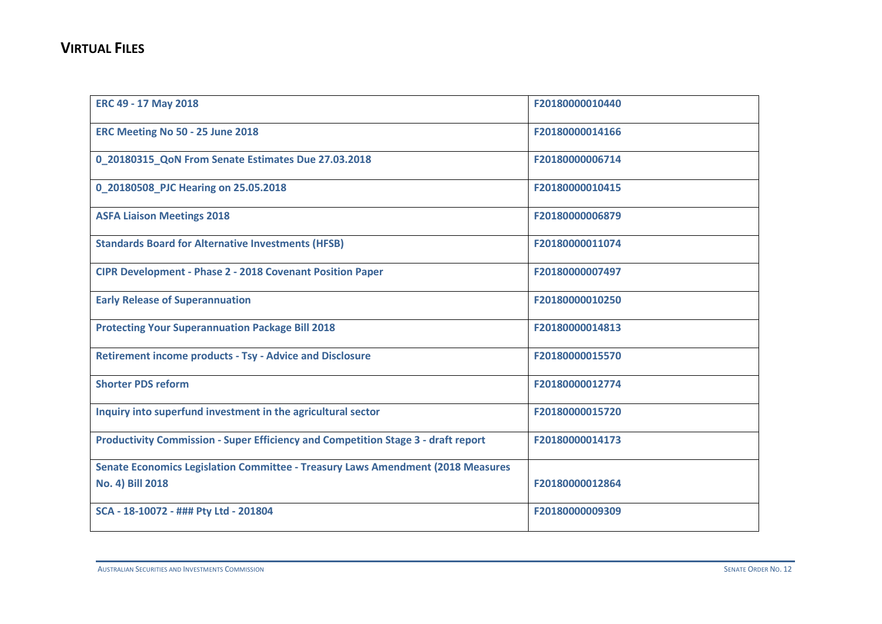| ERC 49 - 17 May 2018                                                              | F20180000010440 |
|-----------------------------------------------------------------------------------|-----------------|
| ERC Meeting No 50 - 25 June 2018                                                  | F20180000014166 |
| 0 20180315 QoN From Senate Estimates Due 27.03.2018                               | F20180000006714 |
| 0_20180508_PJC Hearing on 25.05.2018                                              | F20180000010415 |
| <b>ASFA Liaison Meetings 2018</b>                                                 | F20180000006879 |
| <b>Standards Board for Alternative Investments (HFSB)</b>                         | F20180000011074 |
| <b>CIPR Development - Phase 2 - 2018 Covenant Position Paper</b>                  | F20180000007497 |
| <b>Early Release of Superannuation</b>                                            | F20180000010250 |
| <b>Protecting Your Superannuation Package Bill 2018</b>                           | F20180000014813 |
| <b>Retirement income products - Tsy - Advice and Disclosure</b>                   | F20180000015570 |
| <b>Shorter PDS reform</b>                                                         | F20180000012774 |
| Inquiry into superfund investment in the agricultural sector                      | F20180000015720 |
| Productivity Commission - Super Efficiency and Competition Stage 3 - draft report | F20180000014173 |
| Senate Economics Legislation Committee - Treasury Laws Amendment (2018 Measures   |                 |
| <b>No. 4) Bill 2018</b>                                                           | F20180000012864 |
| SCA - 18-10072 - ### Pty Ltd - 201804                                             | F20180000009309 |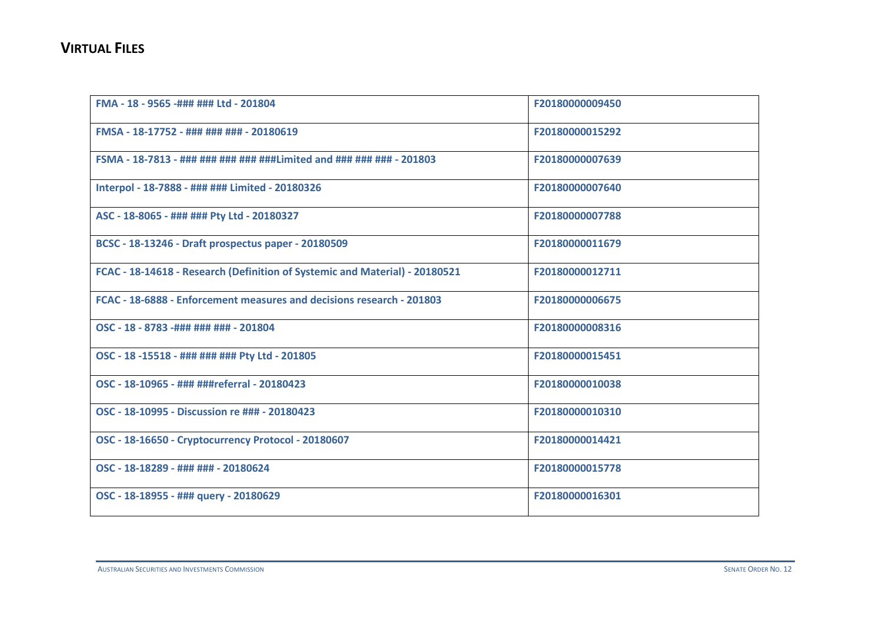| FMA - 18 - 9565 -### ### Ltd - 201804                                       | F20180000009450 |
|-----------------------------------------------------------------------------|-----------------|
| FMSA - 18-17752 - ### ### ### - 20180619                                    | F20180000015292 |
| FSMA - 18-7813 - ### ### ### ### ###Limited and ### ### ### - 201803        | F20180000007639 |
| Interpol - 18-7888 - ### ### Limited - 20180326                             | F20180000007640 |
| ASC - 18-8065 - ### ### Pty Ltd - 20180327                                  | F20180000007788 |
| BCSC - 18-13246 - Draft prospectus paper - 20180509                         | F20180000011679 |
| FCAC - 18-14618 - Research (Definition of Systemic and Material) - 20180521 | F20180000012711 |
| FCAC - 18-6888 - Enforcement measures and decisions research - 201803       | F20180000006675 |
| OSC - 18 - 8783 -### ### ### - 201804                                       | F20180000008316 |
| OSC - 18 -15518 - ### ### ### Pty Ltd - 201805                              | F20180000015451 |
| OSC - 18-10965 - ### ###referral - 20180423                                 | F20180000010038 |
| OSC - 18-10995 - Discussion re ### - 20180423                               | F20180000010310 |
| OSC - 18-16650 - Cryptocurrency Protocol - 20180607                         | F20180000014421 |
| OSC - 18-18289 - ### ### - 20180624                                         | F20180000015778 |
| OSC - 18-18955 - ### query - 20180629                                       | F20180000016301 |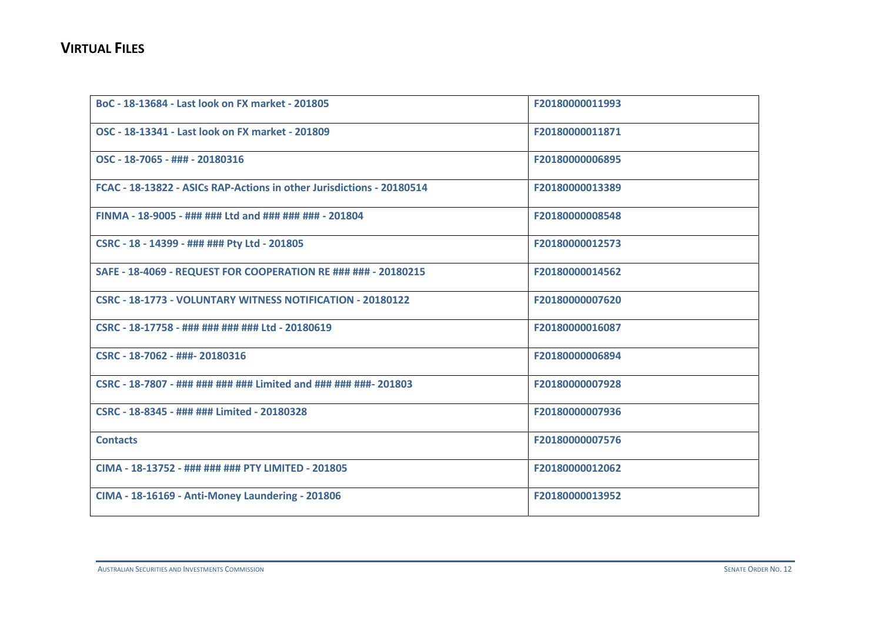| BoC - 18-13684 - Last look on FX market - 201805                      | F20180000011993 |
|-----------------------------------------------------------------------|-----------------|
| OSC - 18-13341 - Last look on FX market - 201809                      | F20180000011871 |
| OSC - 18-7065 - ### - 20180316                                        | F20180000006895 |
| FCAC - 18-13822 - ASICs RAP-Actions in other Jurisdictions - 20180514 | F20180000013389 |
| FINMA - 18-9005 - ### ### Ltd and ### ### ### - 201804                | F20180000008548 |
| CSRC - 18 - 14399 - ### ### Pty Ltd - 201805                          | F20180000012573 |
| SAFE - 18-4069 - REQUEST FOR COOPERATION RE ### ### - 20180215        | F20180000014562 |
| CSRC - 18-1773 - VOLUNTARY WITNESS NOTIFICATION - 20180122            | F20180000007620 |
| CSRC - 18-17758 - ### ### ### ### Ltd - 20180619                      | F20180000016087 |
| CSRC - 18-7062 - ###- 20180316                                        | F20180000006894 |
| CSRC - 18-7807 - ### ### ### ### Limited and ### ### ###- 201803      | F20180000007928 |
| CSRC - 18-8345 - ### ### Limited - 20180328                           | F20180000007936 |
| <b>Contacts</b>                                                       | F20180000007576 |
| CIMA - 18-13752 - ### ### ### PTY LIMITED - 201805                    | F20180000012062 |
| CIMA - 18-16169 - Anti-Money Laundering - 201806                      | F20180000013952 |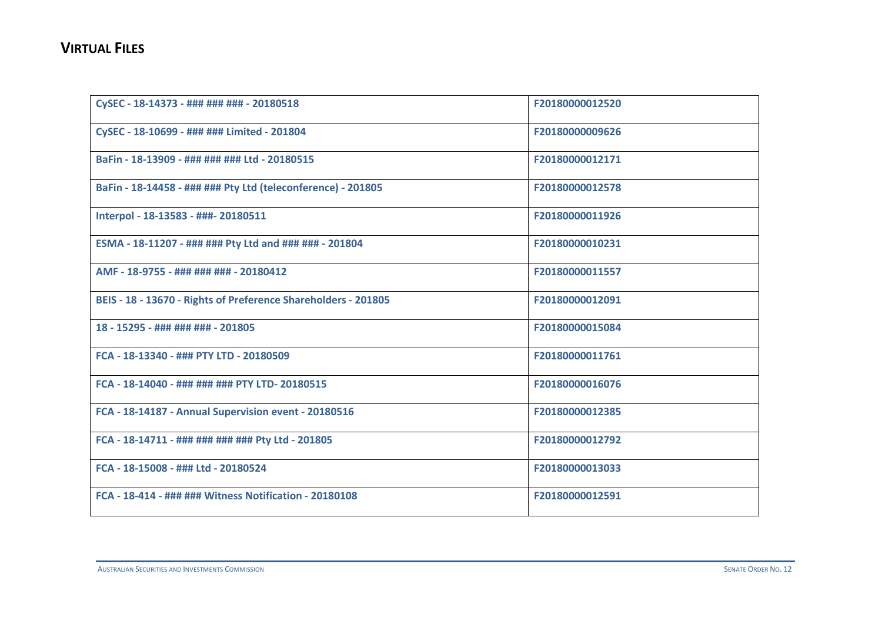| CySEC - 18-14373 - ### ### ### - 20180518                      | F20180000012520 |
|----------------------------------------------------------------|-----------------|
| CySEC - 18-10699 - ### ### Limited - 201804                    | F20180000009626 |
| BaFin - 18-13909 - ### ### ### Ltd - 20180515                  | F20180000012171 |
| BaFin - 18-14458 - ### ### Pty Ltd (teleconference) - 201805   | F20180000012578 |
| Interpol - 18-13583 - ###- 20180511                            | F20180000011926 |
| ESMA - 18-11207 - ### ### Pty Ltd and ### ### - 201804         | F20180000010231 |
| AMF - 18-9755 - ### ### ### - 20180412                         | F20180000011557 |
| BEIS - 18 - 13670 - Rights of Preference Shareholders - 201805 | F20180000012091 |
| 18 - 15295 - ### ### ### - 201805                              | F20180000015084 |
| FCA - 18-13340 - ### PTY LTD - 20180509                        | F20180000011761 |
| FCA - 18-14040 - ### ### ### PTY LTD- 20180515                 | F20180000016076 |
| FCA - 18-14187 - Annual Supervision event - 20180516           | F20180000012385 |
| FCA - 18-14711 - ### ### ### ### Pty Ltd - 201805              | F20180000012792 |
| FCA - 18-15008 - ### Ltd - 20180524                            | F20180000013033 |
| FCA - 18-414 - ### ### Witness Notification - 20180108         | F20180000012591 |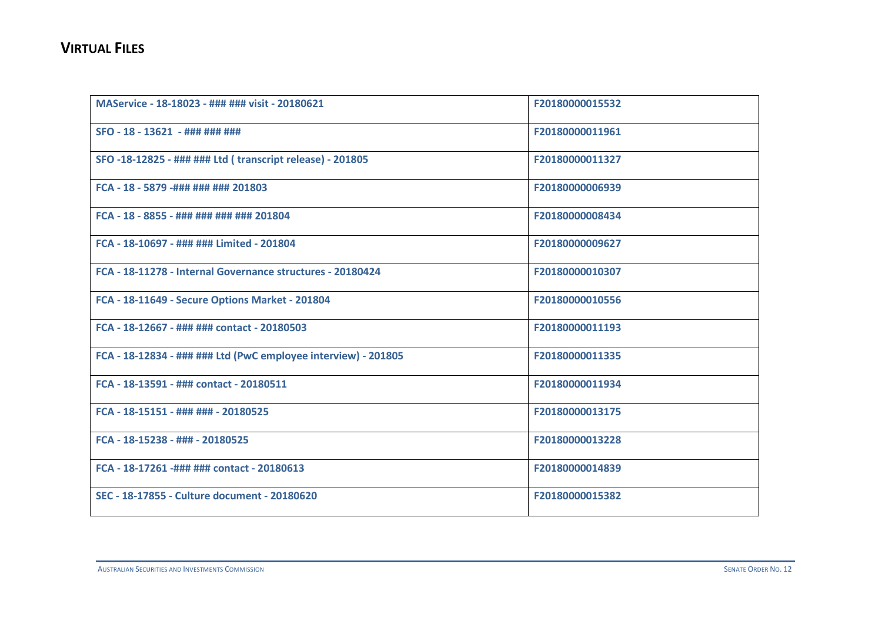| MAService - 18-18023 - ### ### visit - 20180621                | F20180000015532 |
|----------------------------------------------------------------|-----------------|
| SFO - 18 - 13621 - ### ### ###                                 | F20180000011961 |
| SFO -18-12825 - ### ### Ltd ( transcript release) - 201805     | F20180000011327 |
| FCA - 18 - 5879 -### ### ### 201803                            | F20180000006939 |
| FCA - 18 - 8855 - ### ### ### ### 201804                       | F20180000008434 |
| FCA - 18-10697 - ### ### Limited - 201804                      | F20180000009627 |
| FCA - 18-11278 - Internal Governance structures - 20180424     | F20180000010307 |
| FCA - 18-11649 - Secure Options Market - 201804                | F20180000010556 |
| FCA - 18-12667 - ### ### contact - 20180503                    | F20180000011193 |
| FCA - 18-12834 - ### ### Ltd (PwC employee interview) - 201805 | F20180000011335 |
| FCA - 18-13591 - ### contact - 20180511                        | F20180000011934 |
| FCA - 18-15151 - ### ### - 20180525                            | F20180000013175 |
| FCA - 18-15238 - ### - 20180525                                | F20180000013228 |
| FCA - 18-17261 -### ### contact - 20180613                     | F20180000014839 |
| SEC - 18-17855 - Culture document - 20180620                   | F20180000015382 |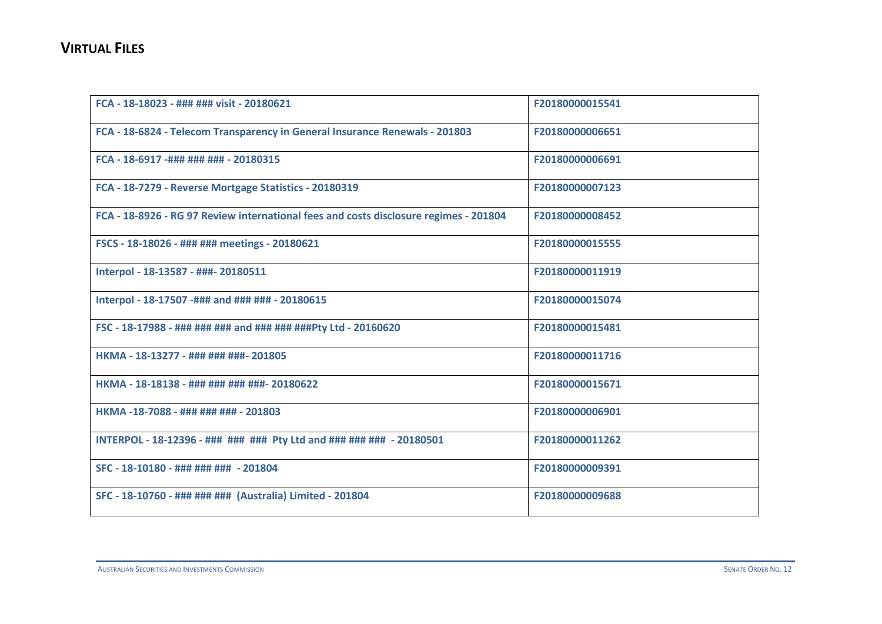| FCA - 18-18023 - ### ### visit - 20180621                                             | F20180000015541 |
|---------------------------------------------------------------------------------------|-----------------|
| FCA - 18-6824 - Telecom Transparency in General Insurance Renewals - 201803           | F20180000006651 |
| FCA - 18-6917 -### ### ### - 20180315                                                 | F20180000006691 |
| FCA - 18-7279 - Reverse Mortgage Statistics - 20180319                                | F20180000007123 |
| FCA - 18-8926 - RG 97 Review international fees and costs disclosure regimes - 201804 | F20180000008452 |
| FSCS - 18-18026 - ### ### meetings - 20180621                                         | F20180000015555 |
| Interpol - 18-13587 - ###- 20180511                                                   | F20180000011919 |
| Interpol - 18-17507 -### and ### ### - 20180615                                       | F20180000015074 |
| FSC - 18-17988 - ### ### ### and ### ### ###Pty Ltd - 20160620                        | F20180000015481 |
| HKMA - 18-13277 - ### ### ###- 201805                                                 | F20180000011716 |
| HKMA - 18-18138 - ### ### ### ###- 20180622                                           | F20180000015671 |
| HKMA-18-7088 - ### ### ### - 201803                                                   | F20180000006901 |
| INTERPOL - 18-12396 - ### ### ### Pty Ltd and ### ### ### - 20180501                  | F20180000011262 |
| SFC - 18-10180 - ### ### ### - 201804                                                 | F20180000009391 |
| SFC - 18-10760 - ### ### ### (Australia) Limited - 201804                             | F20180000009688 |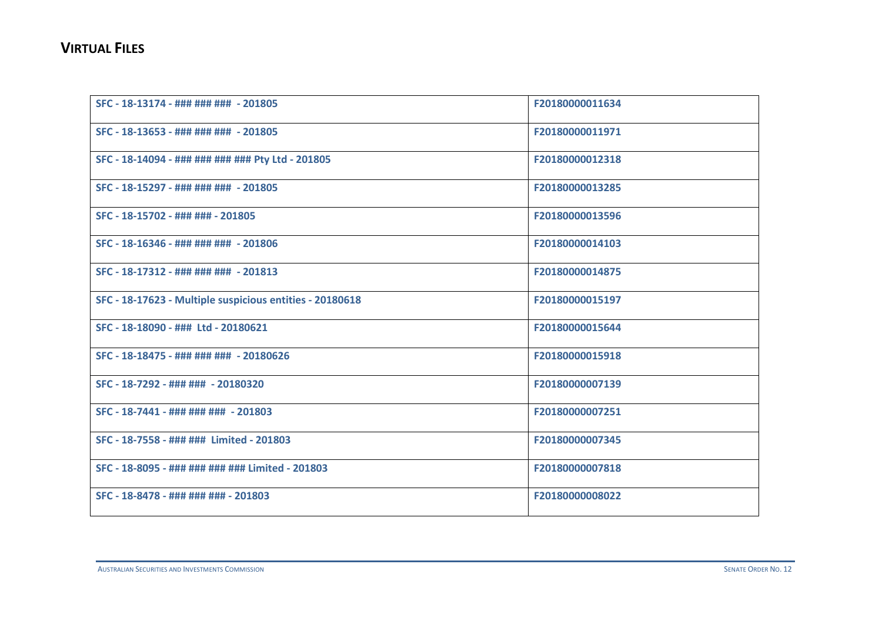| SFC - 18-13174 - ### ### ### - 201805                    | F20180000011634 |
|----------------------------------------------------------|-----------------|
| SFC - 18-13653 - ### ### ### - 201805                    | F20180000011971 |
| SFC - 18-14094 - ### ### ### ### Pty Ltd - 201805        | F20180000012318 |
| SFC - 18-15297 - ### ### ### - 201805                    | F20180000013285 |
| SFC - 18-15702 - ### ### - 201805                        | F20180000013596 |
| SFC - 18-16346 - ### ### ### - 201806                    | F20180000014103 |
| SFC - 18-17312 - ### ### ### - 201813                    | F20180000014875 |
| SFC - 18-17623 - Multiple suspicious entities - 20180618 | F20180000015197 |
| SFC - 18-18090 - ### Ltd - 20180621                      | F20180000015644 |
| SFC - 18-18475 - ### ### ### - 20180626                  | F20180000015918 |
| SFC - 18-7292 - ### ### - 20180320                       | F20180000007139 |
| SFC - 18-7441 - ### ### ### - 201803                     | F20180000007251 |
| SFC - 18-7558 - ### ### Limited - 201803                 | F20180000007345 |
| SFC - 18-8095 - ### ### ### ### Limited - 201803         | F20180000007818 |
| SFC - 18-8478 - ### ### ### - 201803                     | F20180000008022 |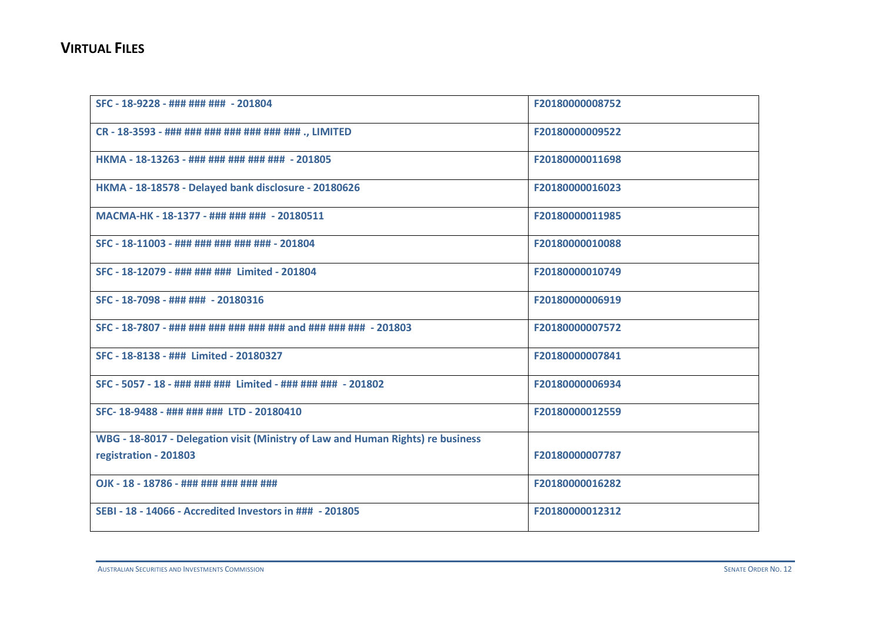| SFC - 18-9228 - ### ### ### - 201804                                            | F20180000008752 |
|---------------------------------------------------------------------------------|-----------------|
| CR - 18-3593 - ### ### ### ### ### ### ### ., LIMITED                           | F20180000009522 |
| HKMA - 18-13263 - ### ### ### ### ### - 201805                                  | F20180000011698 |
| HKMA - 18-18578 - Delayed bank disclosure - 20180626                            | F20180000016023 |
| MACMA-HK - 18-1377 - ### ### ### - 20180511                                     | F20180000011985 |
| SFC - 18-11003 - ### ### ### ### ### - 201804                                   | F20180000010088 |
| SFC - 18-12079 - ### ### ### Limited - 201804                                   | F20180000010749 |
| SFC - 18-7098 - ### ### - 20180316                                              | F20180000006919 |
| SFC - 18-7807 - ### ### ### ### ### ### and ### ### ### - 201803                | F20180000007572 |
| SFC - 18-8138 - ### Limited - 20180327                                          | F20180000007841 |
| SFC - 5057 - 18 - ### ### ### Limited - ### ### ### - 201802                    | F20180000006934 |
| SFC-18-9488 - ### ### ### LTD - 20180410                                        | F20180000012559 |
| WBG - 18-8017 - Delegation visit (Ministry of Law and Human Rights) re business |                 |
| registration - 201803                                                           | F20180000007787 |
| OJK - 18 - 18786 - ### ### ### ### ###                                          | F20180000016282 |
| SEBI - 18 - 14066 - Accredited Investors in ### - 201805                        | F20180000012312 |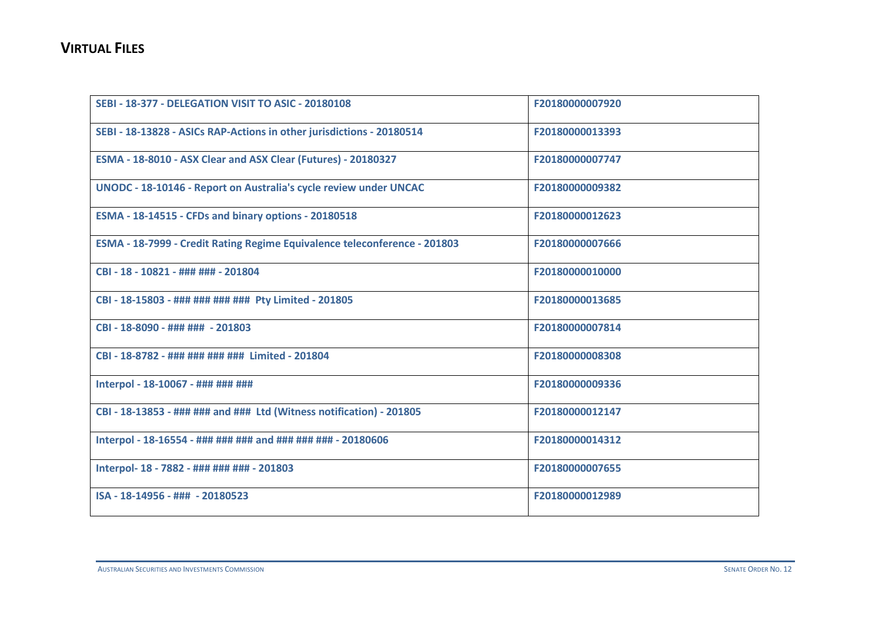| <b>SEBI - 18-377 - DELEGATION VISIT TO ASIC - 20180108</b>                | F20180000007920 |
|---------------------------------------------------------------------------|-----------------|
| SEBI - 18-13828 - ASICs RAP-Actions in other jurisdictions - 20180514     | F20180000013393 |
| ESMA - 18-8010 - ASX Clear and ASX Clear (Futures) - 20180327             | F20180000007747 |
| UNODC - 18-10146 - Report on Australia's cycle review under UNCAC         | F20180000009382 |
| ESMA - 18-14515 - CFDs and binary options - 20180518                      | F20180000012623 |
| ESMA - 18-7999 - Credit Rating Regime Equivalence teleconference - 201803 | F20180000007666 |
| CBI - 18 - 10821 - ### ### - 201804                                       | F20180000010000 |
| CBI - 18-15803 - ### ### ### ### Pty Limited - 201805                     | F20180000013685 |
| CBI - 18-8090 - ### ### - 201803                                          | F20180000007814 |
| CBI - 18-8782 - ### ### ### ### Limited - 201804                          | F20180000008308 |
| Interpol - 18-10067 - ### ### ###                                         | F20180000009336 |
| CBI - 18-13853 - ### ### and ### Ltd (Witness notification) - 201805      | F20180000012147 |
| Interpol - 18-16554 - ### ### ### and ### ### ### - 20180606              | F20180000014312 |
| Interpol- 18 - 7882 - ### ### ### - 201803                                | F20180000007655 |
| ISA - 18-14956 - ### - 20180523                                           | F20180000012989 |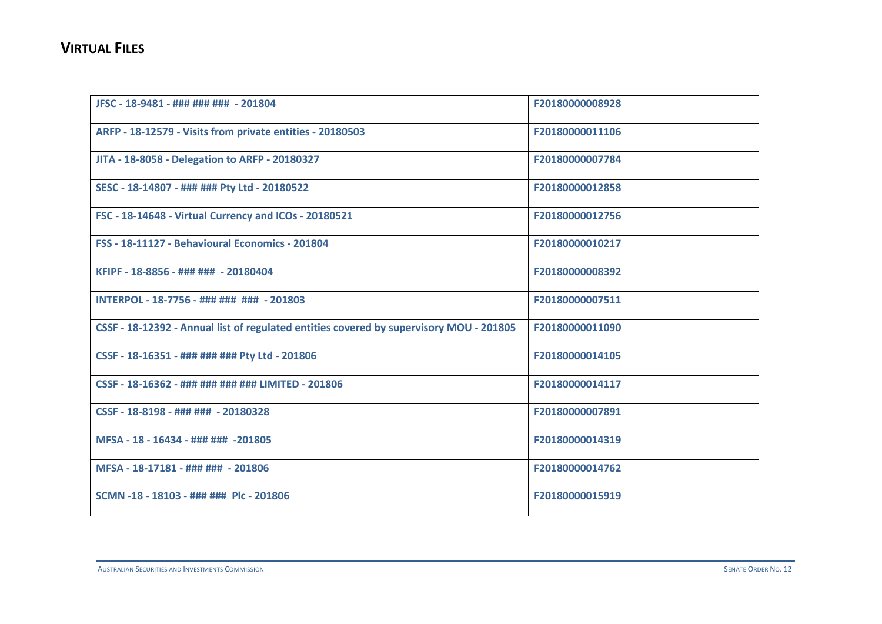| JFSC - 18-9481 - ### ### ### - 201804                                                   | F20180000008928 |
|-----------------------------------------------------------------------------------------|-----------------|
| ARFP - 18-12579 - Visits from private entities - 20180503                               | F20180000011106 |
| JITA - 18-8058 - Delegation to ARFP - 20180327                                          | F20180000007784 |
| SESC - 18-14807 - ### ### Pty Ltd - 20180522                                            | F20180000012858 |
| FSC - 18-14648 - Virtual Currency and ICOs - 20180521                                   | F20180000012756 |
| <b>FSS - 18-11127 - Behavioural Economics - 201804</b>                                  | F20180000010217 |
| KFIPF - 18-8856 - ### ### - 20180404                                                    | F20180000008392 |
| INTERPOL - 18-7756 - ### ### ### - 201803                                               | F20180000007511 |
| CSSF - 18-12392 - Annual list of regulated entities covered by supervisory MOU - 201805 | F20180000011090 |
| CSSF - 18-16351 - ### ### ### Pty Ltd - 201806                                          | F20180000014105 |
| CSSF - 18-16362 - ### ### ### ### LIMITED - 201806                                      | F20180000014117 |
| CSSF - 18-8198 - ### ### - 20180328                                                     | F20180000007891 |
| MFSA - 18 - 16434 - ### ### -201805                                                     | F20180000014319 |
| MFSA - 18-17181 - ### ### - 201806                                                      | F20180000014762 |
| SCMN -18 - 18103 - ### ### Plc - 201806                                                 | F20180000015919 |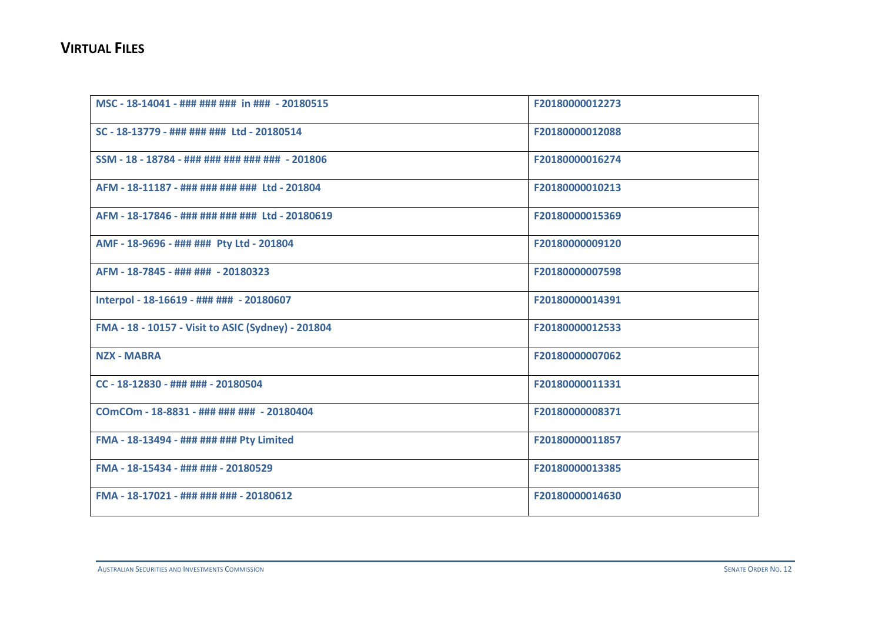| MSC - 18-14041 - ### ### ### in ### - 20180515     | F20180000012273 |
|----------------------------------------------------|-----------------|
| SC - 18-13779 - ### ### ### Ltd - 20180514         | F20180000012088 |
| SSM - 18 - 18784 - ### ### ### ### ### - 201806    | F20180000016274 |
| AFM - 18-11187 - ### ### ### ### Ltd - 201804      | F20180000010213 |
| AFM - 18-17846 - ### ### ### ### Ltd - 20180619    | F20180000015369 |
| AMF - 18-9696 - ### ### Pty Ltd - 201804           | F20180000009120 |
| AFM - 18-7845 - ### ### - 20180323                 | F20180000007598 |
| Interpol - 18-16619 - ### ### - 20180607           | F20180000014391 |
| FMA - 18 - 10157 - Visit to ASIC (Sydney) - 201804 | F20180000012533 |
| <b>NZX - MABRA</b>                                 | F20180000007062 |
| CC - 18-12830 - ### ### - 20180504                 | F20180000011331 |
| COmCOm - 18-8831 - ### ### ### - 20180404          | F20180000008371 |
| FMA - 18-13494 - ### ### ### Pty Limited           | F20180000011857 |
| FMA - 18-15434 - ### ### - 20180529                | F20180000013385 |
| FMA - 18-17021 - ### ### ### - 20180612            | F20180000014630 |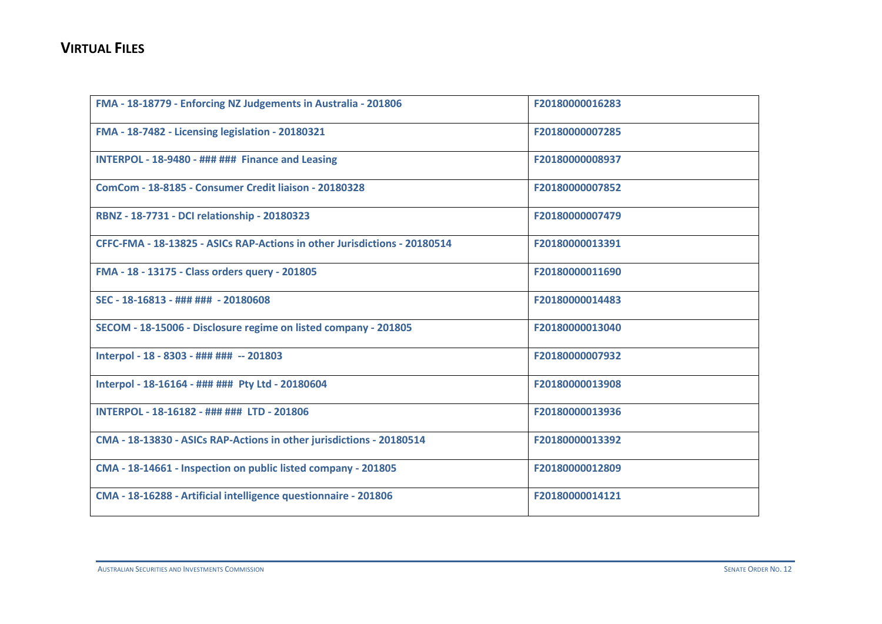| FMA - 18-18779 - Enforcing NZ Judgements in Australia - 201806            | F20180000016283 |
|---------------------------------------------------------------------------|-----------------|
| FMA - 18-7482 - Licensing legislation - 20180321                          | F20180000007285 |
| INTERPOL - 18-9480 - ### ### Finance and Leasing                          | F20180000008937 |
| ComCom - 18-8185 - Consumer Credit liaison - 20180328                     | F20180000007852 |
| RBNZ - 18-7731 - DCI relationship - 20180323                              | F20180000007479 |
| CFFC-FMA - 18-13825 - ASICs RAP-Actions in other Jurisdictions - 20180514 | F20180000013391 |
| FMA - 18 - 13175 - Class orders query - 201805                            | F20180000011690 |
| SEC - 18-16813 - ### ### - 20180608                                       | F20180000014483 |
| SECOM - 18-15006 - Disclosure regime on listed company - 201805           | F20180000013040 |
| Interpol - 18 - 8303 - ### ### -- 201803                                  | F20180000007932 |
| Interpol - 18-16164 - ### ### Pty Ltd - 20180604                          | F20180000013908 |
| INTERPOL - 18-16182 - ### ### LTD - 201806                                | F20180000013936 |
| CMA - 18-13830 - ASICs RAP-Actions in other jurisdictions - 20180514      | F20180000013392 |
| CMA - 18-14661 - Inspection on public listed company - 201805             | F20180000012809 |
| CMA - 18-16288 - Artificial intelligence questionnaire - 201806           | F20180000014121 |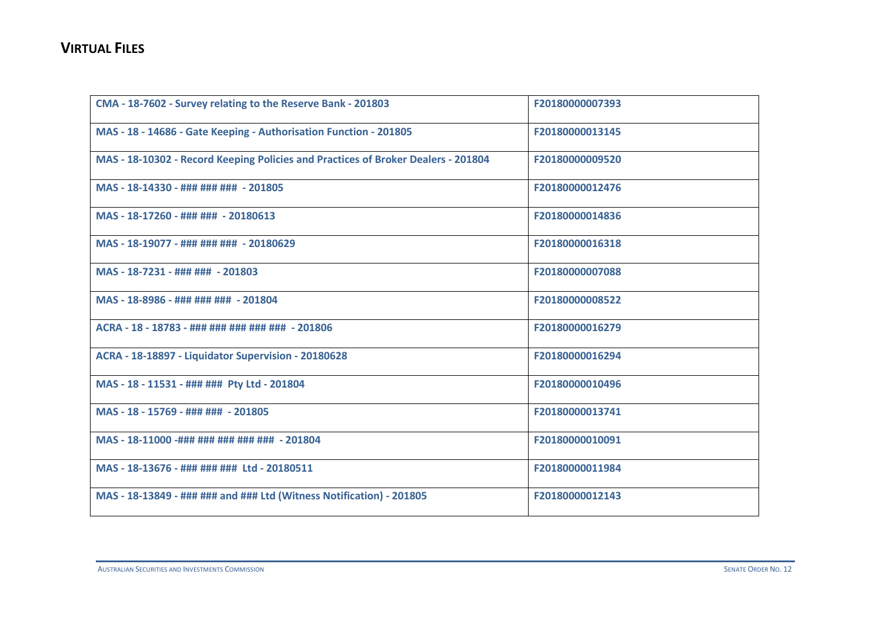| CMA - 18-7602 - Survey relating to the Reserve Bank - 201803                      | F20180000007393 |
|-----------------------------------------------------------------------------------|-----------------|
| MAS - 18 - 14686 - Gate Keeping - Authorisation Function - 201805                 | F20180000013145 |
| MAS - 18-10302 - Record Keeping Policies and Practices of Broker Dealers - 201804 | F20180000009520 |
| MAS - 18-14330 - ### ### ### - 201805                                             | F20180000012476 |
| MAS - 18-17260 - ### ### - 20180613                                               | F20180000014836 |
| MAS - 18-19077 - ### ### ### - 20180629                                           | F20180000016318 |
| MAS - 18-7231 - ### ### - 201803                                                  | F20180000007088 |
| MAS - 18-8986 - ### ### ### - 201804                                              | F20180000008522 |
| ACRA - 18 - 18783 - ### ### ### ### ### - 201806                                  | F20180000016279 |
| ACRA - 18-18897 - Liquidator Supervision - 20180628                               | F20180000016294 |
| MAS - 18 - 11531 - ### ### Pty Ltd - 201804                                       | F20180000010496 |
| MAS - 18 - 15769 - ### ### - 201805                                               | F20180000013741 |
| MAS - 18-11000 -### ### ### ### ### - 201804                                      | F20180000010091 |
| MAS - 18-13676 - ### ### ### Ltd - 20180511                                       | F20180000011984 |
| MAS - 18-13849 - ### ### and ### Ltd (Witness Notification) - 201805              | F20180000012143 |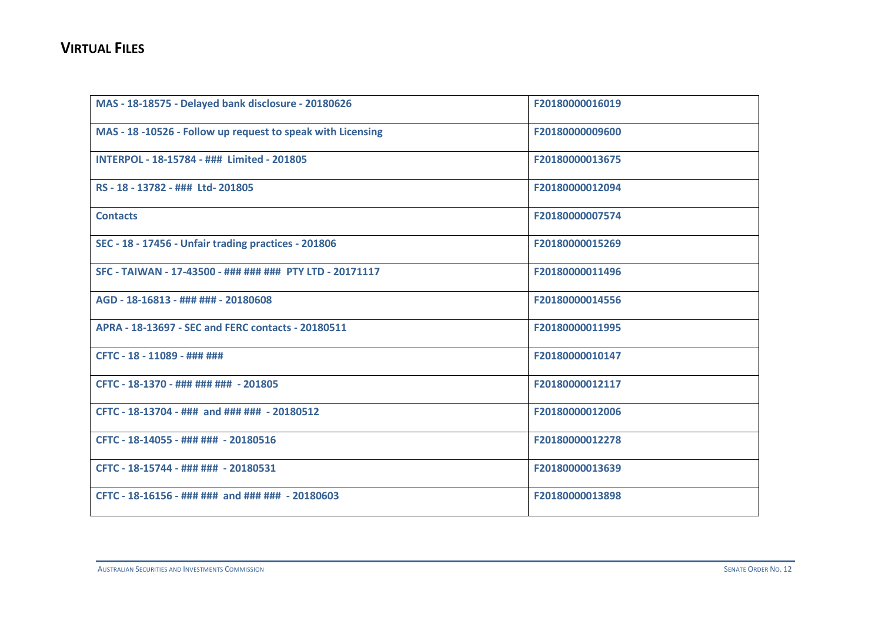| MAS - 18-18575 - Delayed bank disclosure - 20180626         | F20180000016019 |
|-------------------------------------------------------------|-----------------|
| MAS - 18 -10526 - Follow up request to speak with Licensing | F20180000009600 |
| INTERPOL - 18-15784 - ### Limited - 201805                  | F20180000013675 |
| RS - 18 - 13782 - ### Ltd- 201805                           | F20180000012094 |
| <b>Contacts</b>                                             | F20180000007574 |
| SEC - 18 - 17456 - Unfair trading practices - 201806        | F20180000015269 |
| SFC - TAIWAN - 17-43500 - ### ### ### PTY LTD - 20171117    | F20180000011496 |
| AGD - 18-16813 - ### ### - 20180608                         | F20180000014556 |
| APRA - 18-13697 - SEC and FERC contacts - 20180511          | F20180000011995 |
| CFTC - 18 - 11089 - ### ###                                 | F20180000010147 |
| CFTC - 18-1370 - ### ### ### - 201805                       | F20180000012117 |
| CFTC - 18-13704 - ### and ### ### - 20180512                | F20180000012006 |
| CFTC - 18-14055 - ### ### - 20180516                        | F20180000012278 |
| CFTC - 18-15744 - ### ### - 20180531                        | F20180000013639 |
| CFTC - 18-16156 - ### ### and ### ### - 20180603            | F20180000013898 |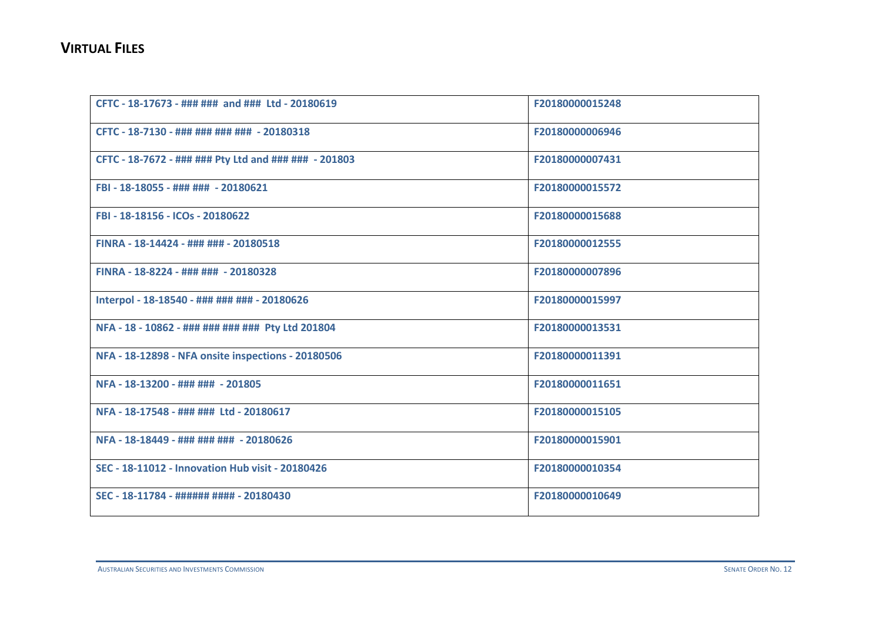| CFTC - 18-17673 - ### ### and ### Ltd - 20180619      | F20180000015248 |
|-------------------------------------------------------|-----------------|
| CFTC - 18-7130 - ### ### ### ### - 20180318           | F20180000006946 |
| CFTC - 18-7672 - ### ### Pty Ltd and ### ### - 201803 | F20180000007431 |
| FBI - 18-18055 - ### ### - 20180621                   | F20180000015572 |
| FBI - 18-18156 - ICOs - 20180622                      | F20180000015688 |
| FINRA - 18-14424 - ### ### - 20180518                 | F20180000012555 |
| FINRA - 18-8224 - ### ### - 20180328                  | F20180000007896 |
| Interpol - 18-18540 - ### ### ### - 20180626          | F20180000015997 |
| NFA - 18 - 10862 - ### ### ### ### Pty Ltd 201804     | F20180000013531 |
| NFA - 18-12898 - NFA onsite inspections - 20180506    | F20180000011391 |
| NFA - 18-13200 - ### ### - 201805                     | F20180000011651 |
| NFA - 18-17548 - ### ### Ltd - 20180617               | F20180000015105 |
| NFA - 18-18449 - ### ### ### - 20180626               | F20180000015901 |
| SEC - 18-11012 - Innovation Hub visit - 20180426      | F20180000010354 |
| SEC - 18-11784 - ###### #### - 20180430               | F20180000010649 |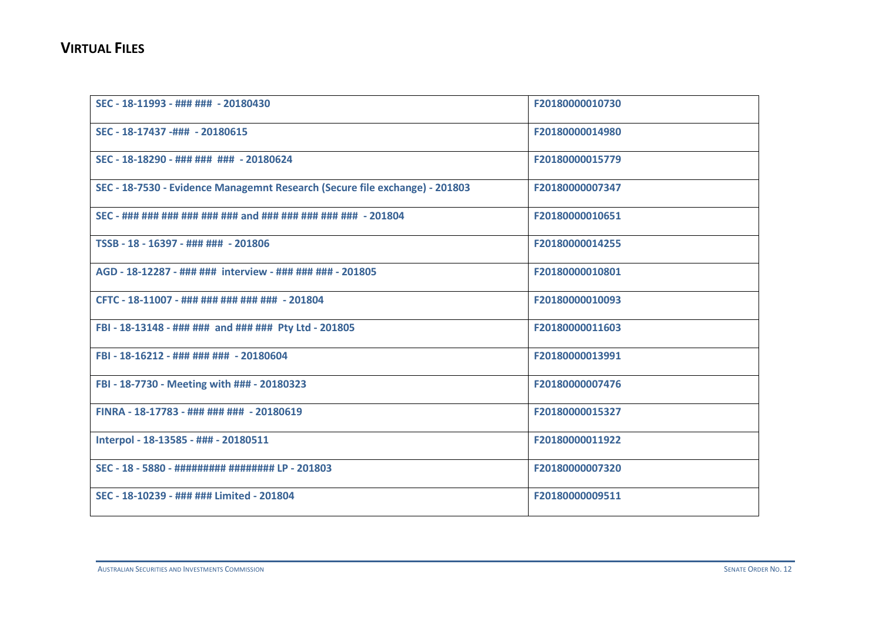| SEC - 18-11993 - ### ### - 20180430                                         | F20180000010730 |
|-----------------------------------------------------------------------------|-----------------|
| SEC - 18-17437 -### - 20180615                                              | F20180000014980 |
| SEC - 18-18290 - ### ### ### - 20180624                                     | F20180000015779 |
| SEC - 18-7530 - Evidence Managemnt Research (Secure file exchange) - 201803 | F20180000007347 |
| SEC - ### ### ### ### ### ### and ### ### ### ### + 201804                  | F20180000010651 |
| TSSB - 18 - 16397 - ### ### - 201806                                        | F20180000014255 |
| AGD - 18-12287 - ### ### interview - ### ### ### - 201805                   | F20180000010801 |
| CFTC - 18-11007 - ### ### ### ### ### - 201804                              | F20180000010093 |
| FBI - 18-13148 - ### ### and ### ### Pty Ltd - 201805                       | F20180000011603 |
| FBI - 18-16212 - ### ### ### - 20180604                                     | F20180000013991 |
| FBI - 18-7730 - Meeting with ### - 20180323                                 | F20180000007476 |
| FINRA - 18-17783 - ### ### ### - 20180619                                   | F20180000015327 |
| Interpol - 18-13585 - ### - 20180511                                        | F20180000011922 |
| SEC - 18 - 5880 - ########## ######### LP - 201803                          | F20180000007320 |
| SEC - 18-10239 - ### ### Limited - 201804                                   | F20180000009511 |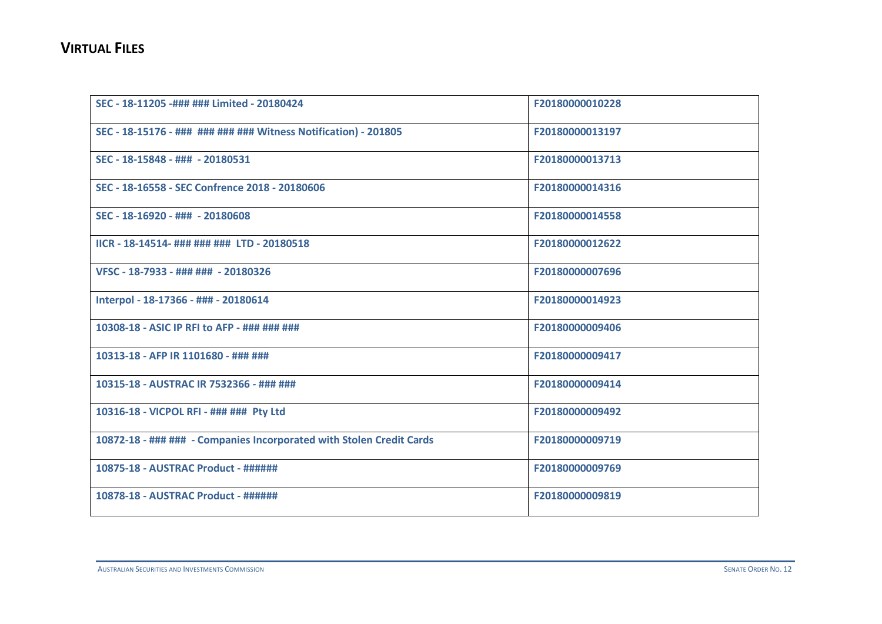| SEC - 18-11205 -### ### Limited - 20180424                           | F20180000010228 |
|----------------------------------------------------------------------|-----------------|
| SEC - 18-15176 - ### ### ### ### Witness Notification) - 201805      | F20180000013197 |
| SEC - 18-15848 - ### - 20180531                                      | F20180000013713 |
| SEC - 18-16558 - SEC Confrence 2018 - 20180606                       | F20180000014316 |
| SEC - 18-16920 - ### - 20180608                                      | F20180000014558 |
| IICR - 18-14514- ### ### ### LTD - 20180518                          | F20180000012622 |
| VFSC - 18-7933 - ### ### - 20180326                                  | F20180000007696 |
| Interpol - 18-17366 - ### - 20180614                                 | F20180000014923 |
| 10308-18 - ASIC IP RFI to AFP - ### ### ###                          | F20180000009406 |
| 10313-18 - AFP IR 1101680 - ### ###                                  | F20180000009417 |
| 10315-18 - AUSTRAC IR 7532366 - ### ###                              | F20180000009414 |
| 10316-18 - VICPOL RFI - ### ### Pty Ltd                              | F20180000009492 |
| 10872-18 - ### ### - Companies Incorporated with Stolen Credit Cards | F20180000009719 |
| 10875-18 - AUSTRAC Product - ######                                  | F20180000009769 |
| 10878-18 - AUSTRAC Product - ######                                  | F20180000009819 |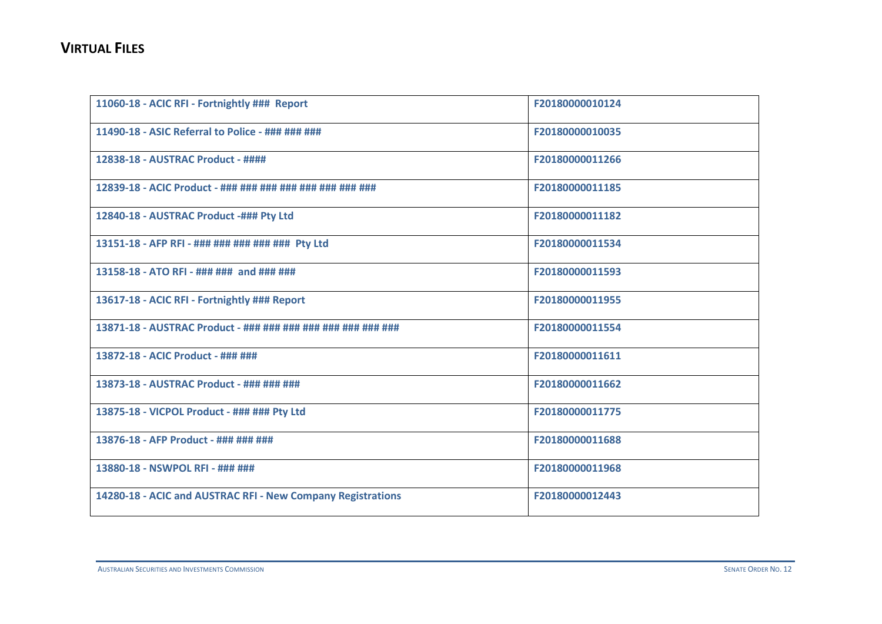| 11060-18 - ACIC RFI - Fortnightly ### Report                | F20180000010124 |
|-------------------------------------------------------------|-----------------|
| 11490-18 - ASIC Referral to Police - ### ### ###            | F20180000010035 |
| 12838-18 - AUSTRAC Product - ####                           | F20180000011266 |
| 12839-18 - ACIC Product - ### ### ### ### ### ### ###       | F20180000011185 |
| 12840-18 - AUSTRAC Product -### Pty Ltd                     | F20180000011182 |
| 13151-18 - AFP RFI - ### ### ### ### ### Pty Ltd            | F20180000011534 |
| 13158-18 - ATO RFI - ### ### and ### ###                    | F20180000011593 |
| 13617-18 - ACIC RFI - Fortnightly ### Report                | F20180000011955 |
| 13871-18 - AUSTRAC Product - ### ### ### ### ### ### ###    | F20180000011554 |
| 13872-18 - ACIC Product - ### ###                           | F20180000011611 |
| 13873-18 - AUSTRAC Product - ### ### ###                    | F20180000011662 |
| 13875-18 - VICPOL Product - ### ### Pty Ltd                 | F20180000011775 |
| 13876-18 - AFP Product - ### ### ###                        | F20180000011688 |
| 13880-18 - NSWPOL RFI - ### ###                             | F20180000011968 |
| 14280-18 - ACIC and AUSTRAC RFI - New Company Registrations | F20180000012443 |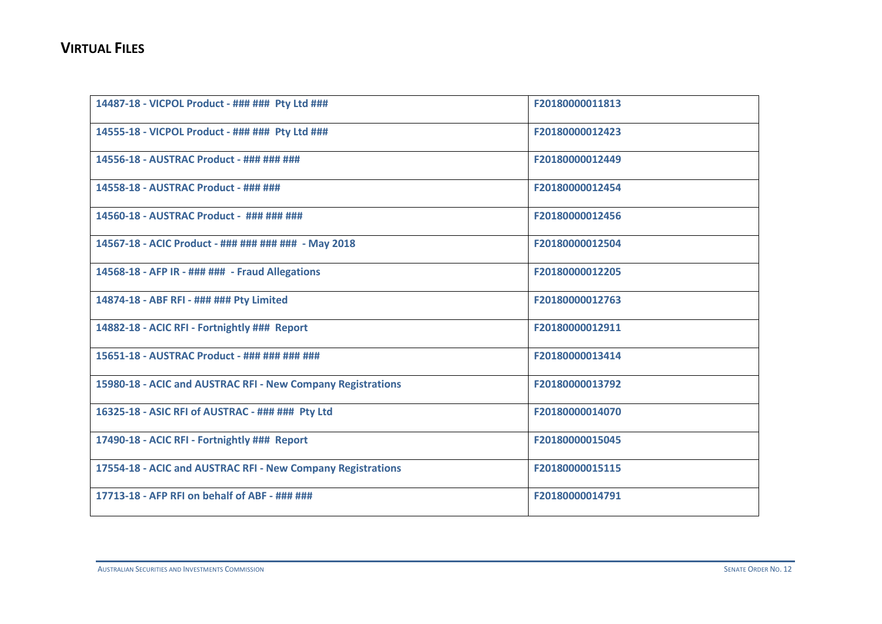| 14487-18 - VICPOL Product - ### ### Pty Ltd ###             | F20180000011813 |
|-------------------------------------------------------------|-----------------|
| 14555-18 - VICPOL Product - ### ### Pty Ltd ###             | F20180000012423 |
| 14556-18 - AUSTRAC Product - ### ### ###                    | F20180000012449 |
| 14558-18 - AUSTRAC Product - ### ###                        | F20180000012454 |
| 14560-18 - AUSTRAC Product - ### ### ###                    | F20180000012456 |
| 14567-18 - ACIC Product - ### ### ### ### - May 2018        | F20180000012504 |
| 14568-18 - AFP IR - ### ### - Fraud Allegations             | F20180000012205 |
| 14874-18 - ABF RFI - ### ### Pty Limited                    | F20180000012763 |
| 14882-18 - ACIC RFI - Fortnightly ### Report                | F20180000012911 |
| 15651-18 - AUSTRAC Product - ### ### ### ###                | F20180000013414 |
| 15980-18 - ACIC and AUSTRAC RFI - New Company Registrations | F20180000013792 |
| 16325-18 - ASIC RFI of AUSTRAC - ### ### Pty Ltd            | F20180000014070 |
| 17490-18 - ACIC RFI - Fortnightly ### Report                | F20180000015045 |
| 17554-18 - ACIC and AUSTRAC RFI - New Company Registrations | F20180000015115 |
| 17713-18 - AFP RFI on behalf of ABF - ### ###               | F20180000014791 |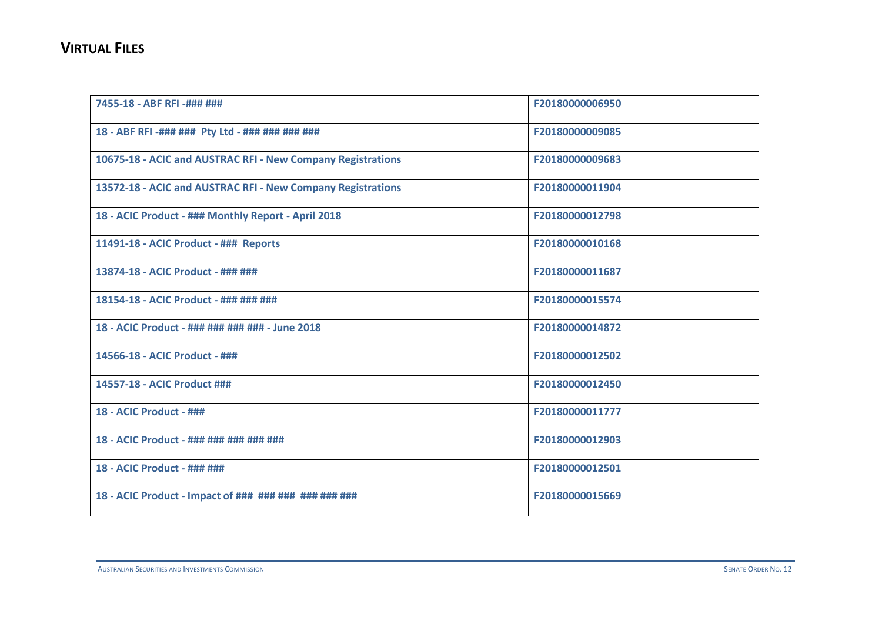| 7455-18 - ABF RFI -### ###                                  | F20180000006950 |
|-------------------------------------------------------------|-----------------|
| 18 - ABF RFI -### ### Pty Ltd - ### ### ### ###             | F20180000009085 |
| 10675-18 - ACIC and AUSTRAC RFI - New Company Registrations | F20180000009683 |
| 13572-18 - ACIC and AUSTRAC RFI - New Company Registrations | F20180000011904 |
| 18 - ACIC Product - ### Monthly Report - April 2018         | F20180000012798 |
| 11491-18 - ACIC Product - ### Reports                       | F20180000010168 |
| 13874-18 - ACIC Product - ### ###                           | F20180000011687 |
| 18154-18 - ACIC Product - ### ### ###                       | F20180000015574 |
| 18 - ACIC Product - ### ### ### ### - June 2018             | F20180000014872 |
| 14566-18 - ACIC Product - ###                               | F20180000012502 |
| 14557-18 - ACIC Product ###                                 | F20180000012450 |
| 18 - ACIC Product - ###                                     | F20180000011777 |
| 18 - ACIC Product - ### ### ### ### ###                     | F20180000012903 |
| 18 - ACIC Product - ### ###                                 | F20180000012501 |
| 18 - ACIC Product - Impact of ### ### ### ### ### ###       | F20180000015669 |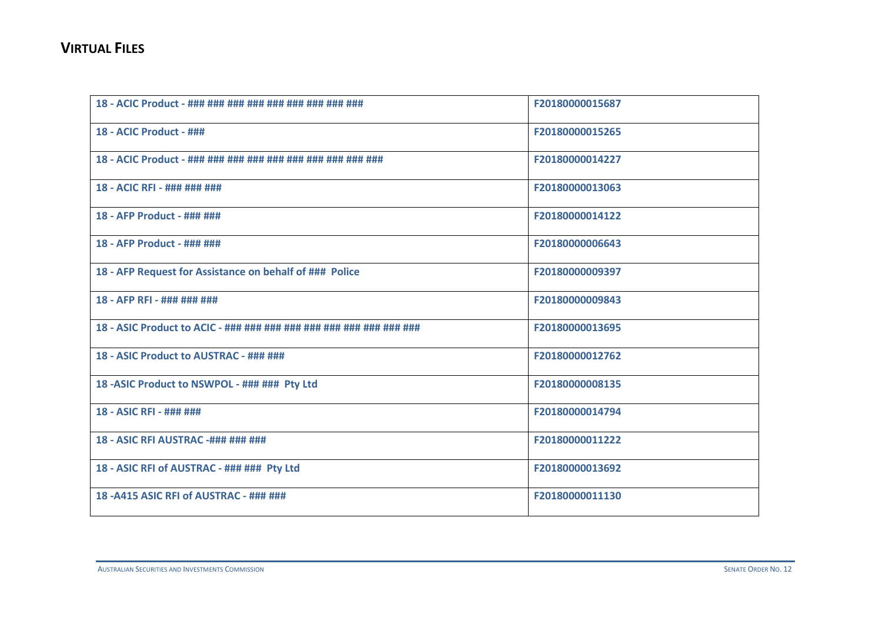| 18 - ACIC Product - ### ### ### ### ### ### ### ###             | F20180000015687 |
|-----------------------------------------------------------------|-----------------|
| 18 - ACIC Product - ###                                         | F20180000015265 |
| 18 - ACIC Product - ### ### ### ### ### ### ### ### ###         | F20180000014227 |
| 18 - ACIC RFI - ### ### ###                                     | F20180000013063 |
| 18 - AFP Product - ### ###                                      | F20180000014122 |
| 18 - AFP Product - ### ###                                      | F20180000006643 |
| 18 - AFP Request for Assistance on behalf of ### Police         | F20180000009397 |
| 18 - AFP RFI - ### ### ###                                      | F20180000009843 |
| 18 - ASIC Product to ACIC - ### ### ### ### ### ### ### ### ### | F20180000013695 |
| 18 - ASIC Product to AUSTRAC - ### ###                          | F20180000012762 |
| 18 - ASIC Product to NSWPOL - ### ### Pty Ltd                   | F20180000008135 |
| 18 - ASIC RFI - ### ###                                         | F20180000014794 |
| 18 - ASIC RFI AUSTRAC -### ### ###                              | F20180000011222 |
| 18 - ASIC RFI of AUSTRAC - ### ### Pty Ltd                      | F20180000013692 |
| 18-A415 ASIC RFI of AUSTRAC - ### ###                           | F20180000011130 |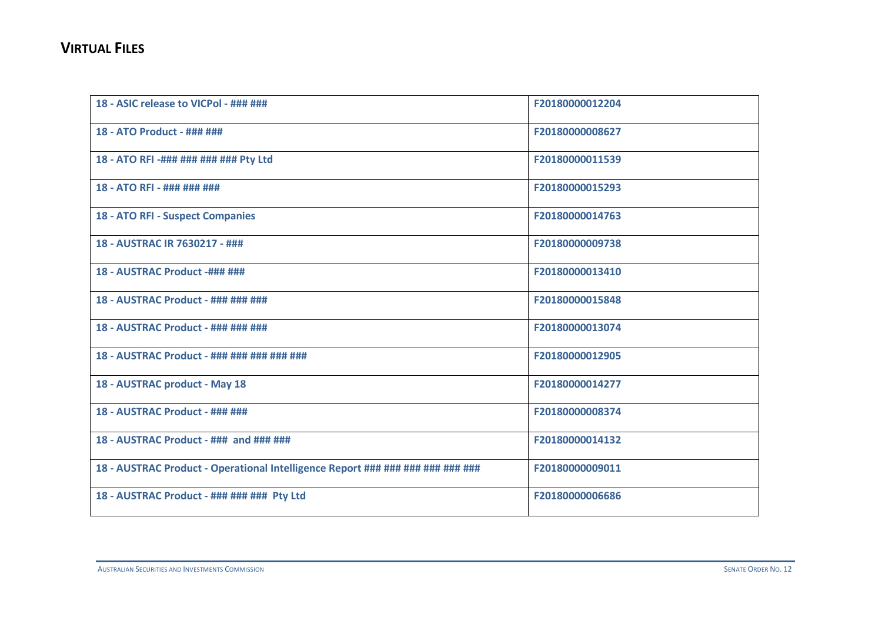| 18 - ASIC release to VICPol - ### ###                                          | F20180000012204 |
|--------------------------------------------------------------------------------|-----------------|
| 18 - ATO Product - ### ###                                                     | F20180000008627 |
| 18 - ATO RFI -### ### ### ### Pty Ltd                                          | F20180000011539 |
| 18 - ATO RFI - ### ### ###                                                     | F20180000015293 |
| <b>18 - ATO RFI - Suspect Companies</b>                                        | F20180000014763 |
| 18 - AUSTRAC IR 7630217 - ###                                                  | F20180000009738 |
| 18 - AUSTRAC Product -### ###                                                  | F20180000013410 |
| 18 - AUSTRAC Product - ### ### ###                                             | F20180000015848 |
| 18 - AUSTRAC Product - ### ### ###                                             | F20180000013074 |
| 18 - AUSTRAC Product - ### ### ### ### ###                                     | F20180000012905 |
| 18 - AUSTRAC product - May 18                                                  | F20180000014277 |
| 18 - AUSTRAC Product - ### ###                                                 | F20180000008374 |
| 18 - AUSTRAC Product - ### and ### ###                                         | F20180000014132 |
| 18 - AUSTRAC Product - Operational Intelligence Report ### ### ### ### ### ### | F20180000009011 |
| 18 - AUSTRAC Product - ### ### ### Pty Ltd                                     | F20180000006686 |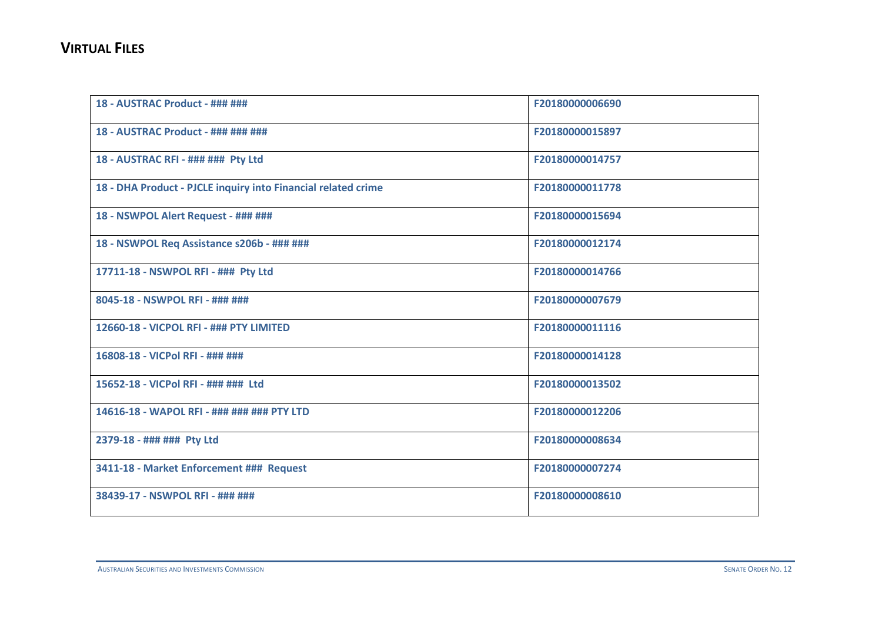| 18 - AUSTRAC Product - ### ###                                | F20180000006690 |
|---------------------------------------------------------------|-----------------|
| 18 - AUSTRAC Product - ### ### ###                            | F20180000015897 |
| 18 - AUSTRAC RFI - ### ### Pty Ltd                            | F20180000014757 |
| 18 - DHA Product - PJCLE inquiry into Financial related crime | F20180000011778 |
| 18 - NSWPOL Alert Request - ### ###                           | F20180000015694 |
| 18 - NSWPOL Req Assistance s206b - ### ###                    | F20180000012174 |
| 17711-18 - NSWPOL RFI - ### Pty Ltd                           | F20180000014766 |
| 8045-18 - NSWPOL RFI - ### ###                                | F20180000007679 |
| 12660-18 - VICPOL RFI - ### PTY LIMITED                       | F20180000011116 |
| 16808-18 - VICPol RFI - ### ###                               | F20180000014128 |
| 15652-18 - VICPol RFI - ### ### Ltd                           | F20180000013502 |
| 14616-18 - WAPOL RFI - ### ### ### PTY LTD                    | F20180000012206 |
| 2379-18 - ### ### Pty Ltd                                     | F20180000008634 |
| 3411-18 - Market Enforcement ### Request                      | F20180000007274 |
| 38439-17 - NSWPOL RFI - ### ###                               | F20180000008610 |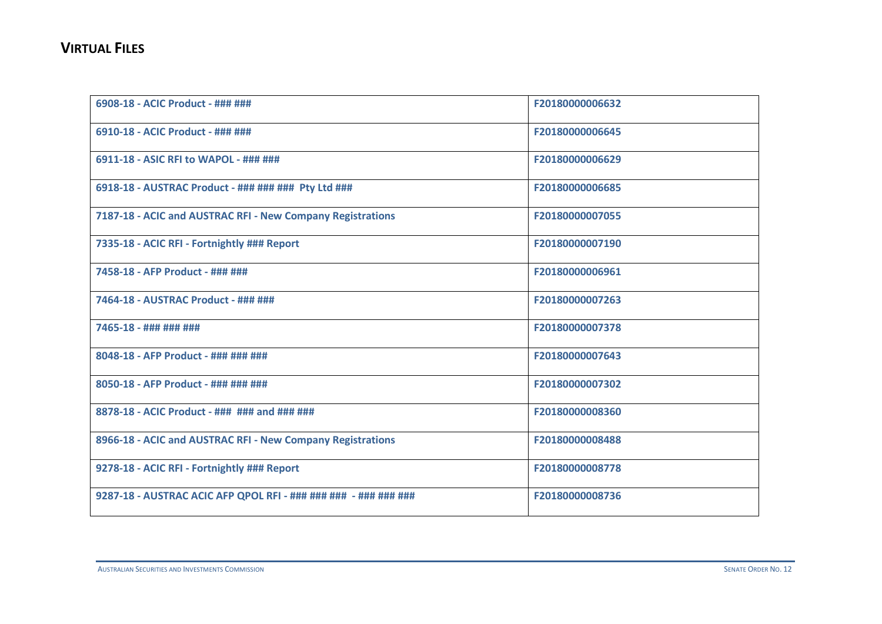| 6908-18 - ACIC Product - ### ###                                | F20180000006632 |
|-----------------------------------------------------------------|-----------------|
| 6910-18 - ACIC Product - ### ###                                | F20180000006645 |
| 6911-18 - ASIC RFI to WAPOL - ### ###                           | F20180000006629 |
| 6918-18 - AUSTRAC Product - ### ### ### Pty Ltd ###             | F20180000006685 |
| 7187-18 - ACIC and AUSTRAC RFI - New Company Registrations      | F20180000007055 |
| 7335-18 - ACIC RFI - Fortnightly ### Report                     | F20180000007190 |
| 7458-18 - AFP Product - ### ###                                 | F20180000006961 |
| 7464-18 - AUSTRAC Product - ### ###                             | F20180000007263 |
| 7465-18 - ### ### ###                                           | F20180000007378 |
| 8048-18 - AFP Product - ### ### ###                             | F20180000007643 |
| 8050-18 - AFP Product - ### ### ###                             | F20180000007302 |
| 8878-18 - ACIC Product - ### ### and ### ###                    | F20180000008360 |
| 8966-18 - ACIC and AUSTRAC RFI - New Company Registrations      | F20180000008488 |
| 9278-18 - ACIC RFI - Fortnightly ### Report                     | F20180000008778 |
| 9287-18 - AUSTRAC ACIC AFP QPOL RFI - ### ### ### - ### ### ### | F20180000008736 |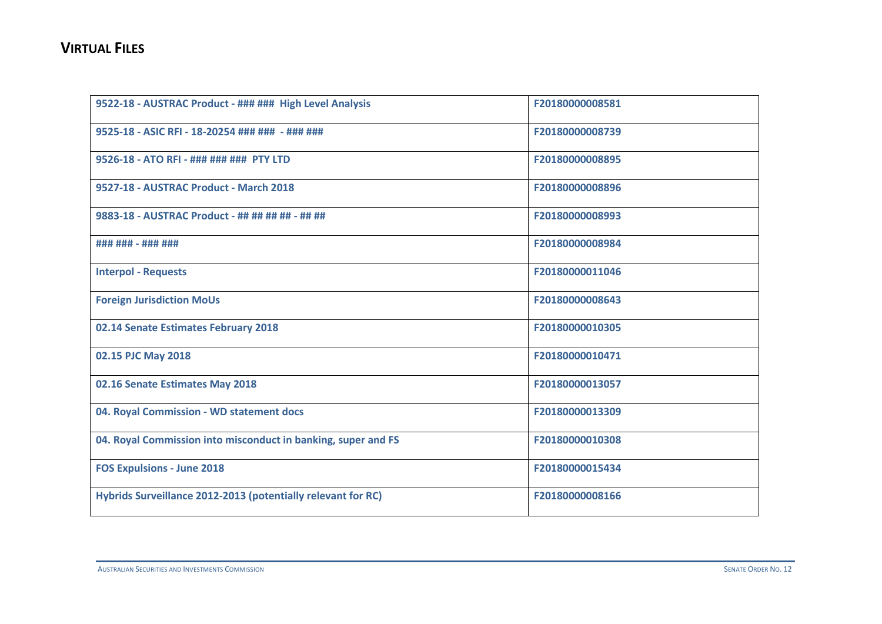| 9522-18 - AUSTRAC Product - ### ### High Level Analysis       | F20180000008581 |
|---------------------------------------------------------------|-----------------|
| 9525-18 - ASIC RFI - 18-20254 ### ### - ### ###               | F20180000008739 |
| 9526-18 - ATO RFI - ### ### ### PTY LTD                       | F20180000008895 |
| 9527-18 - AUSTRAC Product - March 2018                        | F20180000008896 |
| 9883-18 - AUSTRAC Product - ## ## ## ## - ## ##               | F20180000008993 |
| ### ### - ### ###                                             | F20180000008984 |
| <b>Interpol - Requests</b>                                    | F20180000011046 |
| <b>Foreign Jurisdiction MoUs</b>                              | F20180000008643 |
| 02.14 Senate Estimates February 2018                          | F20180000010305 |
| 02.15 PJC May 2018                                            | F20180000010471 |
| 02.16 Senate Estimates May 2018                               | F20180000013057 |
| 04. Royal Commission - WD statement docs                      | F20180000013309 |
| 04. Royal Commission into misconduct in banking, super and FS | F20180000010308 |
| <b>FOS Expulsions - June 2018</b>                             | F20180000015434 |
| Hybrids Surveillance 2012-2013 (potentially relevant for RC)  | F20180000008166 |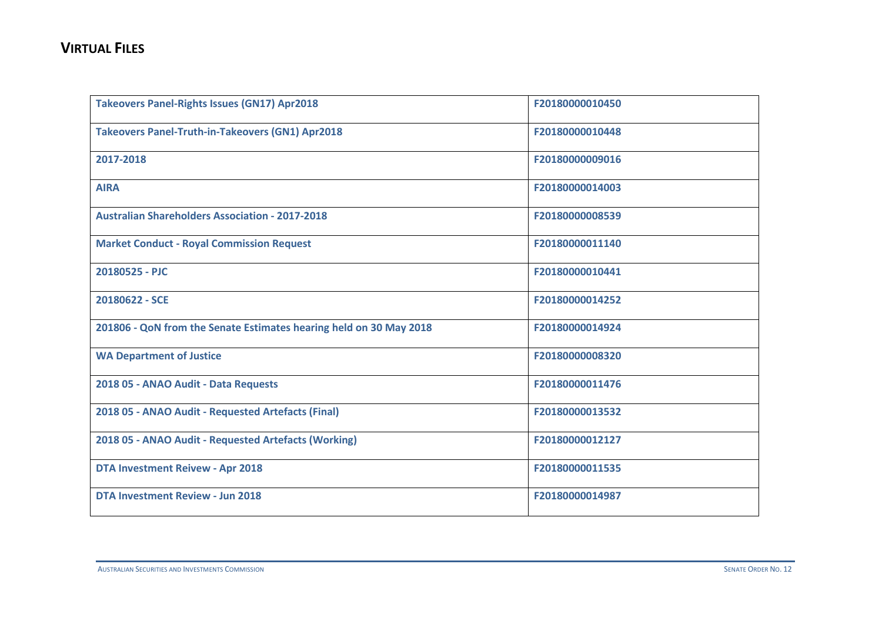| <b>Takeovers Panel-Rights Issues (GN17) Apr2018</b>                | F20180000010450 |
|--------------------------------------------------------------------|-----------------|
| <b>Takeovers Panel-Truth-in-Takeovers (GN1) Apr2018</b>            | F20180000010448 |
| 2017-2018                                                          | F20180000009016 |
| <b>AIRA</b>                                                        | F20180000014003 |
| <b>Australian Shareholders Association - 2017-2018</b>             | F20180000008539 |
| <b>Market Conduct - Royal Commission Request</b>                   | F20180000011140 |
| 20180525 - PJC                                                     | F20180000010441 |
| 20180622 - SCE                                                     | F20180000014252 |
| 201806 - QoN from the Senate Estimates hearing held on 30 May 2018 | F20180000014924 |
| <b>WA Department of Justice</b>                                    | F20180000008320 |
| 2018 05 - ANAO Audit - Data Requests                               | F20180000011476 |
| 2018 05 - ANAO Audit - Requested Artefacts (Final)                 | F20180000013532 |
| 2018 05 - ANAO Audit - Requested Artefacts (Working)               | F20180000012127 |
| <b>DTA Investment Reivew - Apr 2018</b>                            | F20180000011535 |
| <b>DTA Investment Review - Jun 2018</b>                            | F20180000014987 |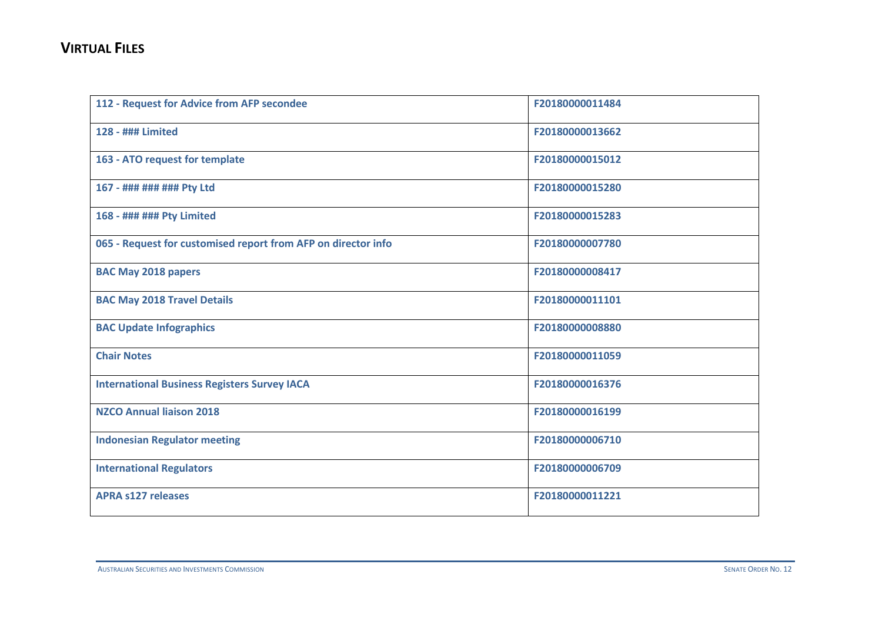| 112 - Request for Advice from AFP secondee                    | F20180000011484 |
|---------------------------------------------------------------|-----------------|
| 128 - ### Limited                                             | F20180000013662 |
| 163 - ATO request for template                                | F20180000015012 |
| 167 - ### ### ### Pty Ltd                                     | F20180000015280 |
| 168 - ### ### Pty Limited                                     | F20180000015283 |
| 065 - Request for customised report from AFP on director info | F20180000007780 |
| <b>BAC May 2018 papers</b>                                    | F20180000008417 |
| <b>BAC May 2018 Travel Details</b>                            | F20180000011101 |
| <b>BAC Update Infographics</b>                                | F20180000008880 |
| <b>Chair Notes</b>                                            | F20180000011059 |
| <b>International Business Registers Survey IACA</b>           | F20180000016376 |
| <b>NZCO Annual liaison 2018</b>                               | F20180000016199 |
| <b>Indonesian Regulator meeting</b>                           | F20180000006710 |
| <b>International Regulators</b>                               | F20180000006709 |
| <b>APRA s127 releases</b>                                     | F20180000011221 |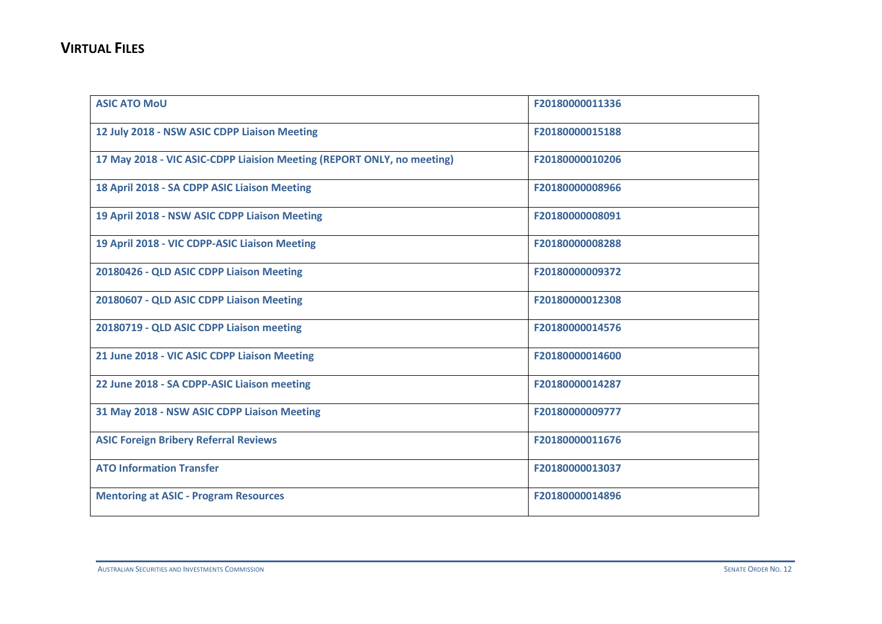| <b>ASIC ATO MoU</b>                                                    | F20180000011336 |
|------------------------------------------------------------------------|-----------------|
| 12 July 2018 - NSW ASIC CDPP Liaison Meeting                           | F20180000015188 |
| 17 May 2018 - VIC ASIC-CDPP Liaision Meeting (REPORT ONLY, no meeting) | F20180000010206 |
| 18 April 2018 - SA CDPP ASIC Liaison Meeting                           | F20180000008966 |
| 19 April 2018 - NSW ASIC CDPP Liaison Meeting                          | F20180000008091 |
| 19 April 2018 - VIC CDPP-ASIC Liaison Meeting                          | F20180000008288 |
| 20180426 - QLD ASIC CDPP Liaison Meeting                               | F20180000009372 |
| 20180607 - QLD ASIC CDPP Liaison Meeting                               | F20180000012308 |
| 20180719 - QLD ASIC CDPP Liaison meeting                               | F20180000014576 |
| 21 June 2018 - VIC ASIC CDPP Liaison Meeting                           | F20180000014600 |
| 22 June 2018 - SA CDPP-ASIC Liaison meeting                            | F20180000014287 |
| 31 May 2018 - NSW ASIC CDPP Liaison Meeting                            | F20180000009777 |
| <b>ASIC Foreign Bribery Referral Reviews</b>                           | F20180000011676 |
| <b>ATO Information Transfer</b>                                        | F20180000013037 |
| <b>Mentoring at ASIC - Program Resources</b>                           | F20180000014896 |